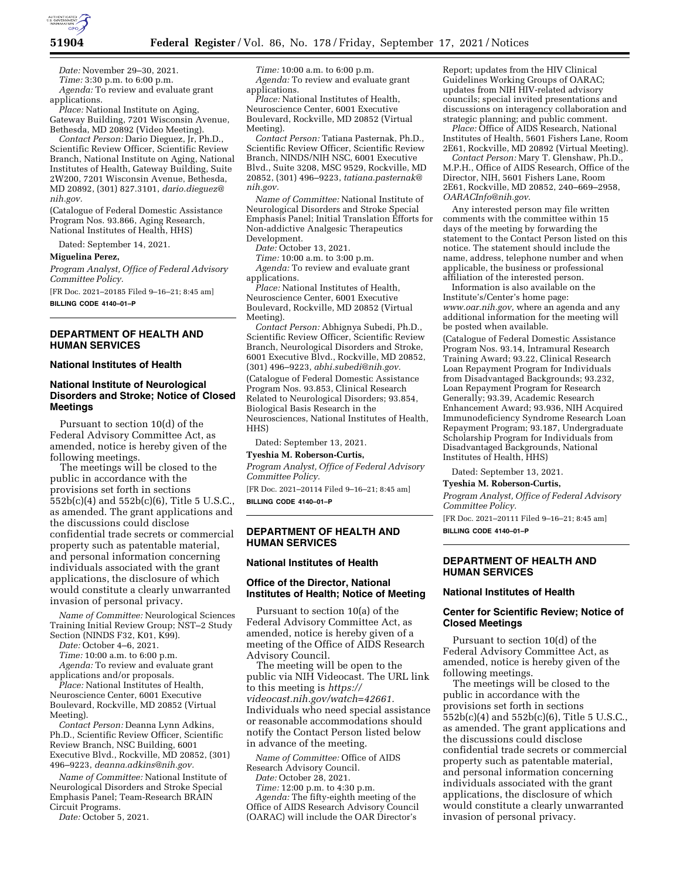

*Date:* November 29–30, 2021. *Time:* 3:30 p.m. to 6:00 p.m. *Agenda:* To review and evaluate grant applications.

*Place:* National Institute on Aging, Gateway Building, 7201 Wisconsin Avenue, Bethesda, MD 20892 (Video Meeting).

*Contact Person:* Dario Dieguez, Jr, Ph.D., Scientific Review Officer, Scientific Review Branch, National Institute on Aging, National Institutes of Health, Gateway Building, Suite 2W200, 7201 Wisconsin Avenue, Bethesda, MD 20892, (301) 827.3101, *[dario.dieguez@](mailto:dario.dieguez@nih.gov) [nih.gov.](mailto:dario.dieguez@nih.gov)* 

(Catalogue of Federal Domestic Assistance Program Nos. 93.866, Aging Research, National Institutes of Health, HHS)

Dated: September 14, 2021.

**Miguelina Perez,** 

*Program Analyst, Office of Federal Advisory Committee Policy.* 

[FR Doc. 2021–20185 Filed 9–16–21; 8:45 am] **BILLING CODE 4140–01–P** 

# **DEPARTMENT OF HEALTH AND HUMAN SERVICES**

#### **National Institutes of Health**

# **National Institute of Neurological Disorders and Stroke; Notice of Closed Meetings**

Pursuant to section 10(d) of the Federal Advisory Committee Act, as amended, notice is hereby given of the following meetings.

The meetings will be closed to the public in accordance with the provisions set forth in sections 552b(c)(4) and 552b(c)(6), Title 5 U.S.C., as amended. The grant applications and the discussions could disclose confidential trade secrets or commercial property such as patentable material, and personal information concerning individuals associated with the grant applications, the disclosure of which would constitute a clearly unwarranted invasion of personal privacy.

*Name of Committee:* Neurological Sciences Training Initial Review Group; NST–2 Study Section (NINDS F32, K01, K99).

*Date:* October 4–6, 2021.

*Time:* 10:00 a.m. to 6:00 p.m.

*Agenda:* To review and evaluate grant applications and/or proposals.

*Place:* National Institutes of Health, Neuroscience Center, 6001 Executive Boulevard, Rockville, MD 20852 (Virtual Meeting).

*Contact Person:* Deanna Lynn Adkins, Ph.D., Scientific Review Officer, Scientific Review Branch, NSC Building, 6001 Executive Blvd., Rockville, MD 20852, (301) 496–9223, *[deanna.adkins@nih.gov.](mailto:deanna.adkins@nih.gov)* 

*Name of Committee:* National Institute of Neurological Disorders and Stroke Special Emphasis Panel; Team-Research BRAIN Circuit Programs.

*Date:* October 5, 2021.

*Time:* 10:00 a.m. to 6:00 p.m. *Agenda:* To review and evaluate grant applications.

*Place:* National Institutes of Health, Neuroscience Center, 6001 Executive Boulevard, Rockville, MD 20852 (Virtual Meeting).

*Contact Person:* Tatiana Pasternak, Ph.D., Scientific Review Officer, Scientific Review Branch, NINDS/NIH NSC, 6001 Executive Blvd., Suite 3208, MSC 9529, Rockville, MD 20852, (301) 496–9223, *[tatiana.pasternak@](mailto:tatiana.pasternak@nih.gov) [nih.gov.](mailto:tatiana.pasternak@nih.gov)* 

*Name of Committee:* National Institute of Neurological Disorders and Stroke Special Emphasis Panel; Initial Translation Efforts for Non-addictive Analgesic Therapeutics Development.

*Date:* October 13, 2021.

*Time:* 10:00 a.m. to 3:00 p.m.

*Agenda:* To review and evaluate grant applications.

*Place:* National Institutes of Health, Neuroscience Center, 6001 Executive Boulevard, Rockville, MD 20852 (Virtual Meeting).

*Contact Person:* Abhignya Subedi, Ph.D., Scientific Review Officer, Scientific Review Branch, Neurological Disorders and Stroke, 6001 Executive Blvd., Rockville, MD 20852, (301) 496–9223, *[abhi.subedi@nih.gov.](mailto:abhi.subedi@nih.gov)* 

(Catalogue of Federal Domestic Assistance Program Nos. 93.853, Clinical Research Related to Neurological Disorders; 93.854, Biological Basis Research in the Neurosciences, National Institutes of Health, HHS)

Dated: September 13, 2021.

### **Tyeshia M. Roberson-Curtis,**

*Program Analyst, Office of Federal Advisory Committee Policy.* 

[FR Doc. 2021–20114 Filed 9–16–21; 8:45 am]

**BILLING CODE 4140–01–P** 

# **DEPARTMENT OF HEALTH AND HUMAN SERVICES**

### **National Institutes of Health**

# **Office of the Director, National Institutes of Health; Notice of Meeting**

Pursuant to section 10(a) of the Federal Advisory Committee Act, as amended, notice is hereby given of a meeting of the Office of AIDS Research Advisory Council.

The meeting will be open to the public via NIH Videocast. The URL link to this meeting is *[https://](https://videocast.nih.gov/watch=42661) [videocast.nih.gov/watch=42661.](https://videocast.nih.gov/watch=42661)*  Individuals who need special assistance or reasonable accommodations should notify the Contact Person listed below in advance of the meeting.

*Name of Committee:* Office of AIDS Research Advisory Council.

*Date:* October 28, 2021.

*Time:* 12:00 p.m. to 4:30 p.m. *Agenda:* The fifty-eighth meeting of the Office of AIDS Research Advisory Council (OARAC) will include the OAR Director's

Report; updates from the HIV Clinical Guidelines Working Groups of OARAC; updates from NIH HIV-related advisory councils; special invited presentations and discussions on interagency collaboration and strategic planning; and public comment.

*Place:* Office of AIDS Research, National Institutes of Health, 5601 Fishers Lane, Room 2E61, Rockville, MD 20892 (Virtual Meeting).

*Contact Person:* Mary T. Glenshaw, Ph.D., M.P.H., Office of AIDS Research, Office of the Director, NIH, 5601 Fishers Lane, Room 2E61, Rockville, MD 20852, 240–669–2958, *[OARACInfo@nih.gov](mailto:OARACInfo@nih.gov)*.

Any interested person may file written comments with the committee within 15 days of the meeting by forwarding the statement to the Contact Person listed on this notice. The statement should include the name, address, telephone number and when applicable, the business or professional affiliation of the interested person.

Information is also available on the Institute's/Center's home page: *[www.oar.nih.gov,](http://www.oar.nih.gov)* where an agenda and any additional information for the meeting will be posted when available.

(Catalogue of Federal Domestic Assistance Program Nos. 93.14, Intramural Research Training Award; 93.22, Clinical Research Loan Repayment Program for Individuals from Disadvantaged Backgrounds; 93.232, Loan Repayment Program for Research Generally; 93.39, Academic Research Enhancement Award; 93.936, NIH Acquired Immunodeficiency Syndrome Research Loan Repayment Program; 93.187, Undergraduate Scholarship Program for Individuals from Disadvantaged Backgrounds, National Institutes of Health, HHS)

Dated: September 13, 2021.

#### **Tyeshia M. Roberson-Curtis,**

*Program Analyst, Office of Federal Advisory Committee Policy.* 

[FR Doc. 2021–20111 Filed 9–16–21; 8:45 am] **BILLING CODE 4140–01–P** 

## **DEPARTMENT OF HEALTH AND HUMAN SERVICES**

### **National Institutes of Health**

## **Center for Scientific Review; Notice of Closed Meetings**

Pursuant to section 10(d) of the Federal Advisory Committee Act, as amended, notice is hereby given of the following meetings.

The meetings will be closed to the public in accordance with the provisions set forth in sections 552b(c)(4) and 552b(c)(6), Title 5 U.S.C., as amended. The grant applications and the discussions could disclose confidential trade secrets or commercial property such as patentable material, and personal information concerning individuals associated with the grant applications, the disclosure of which would constitute a clearly unwarranted invasion of personal privacy.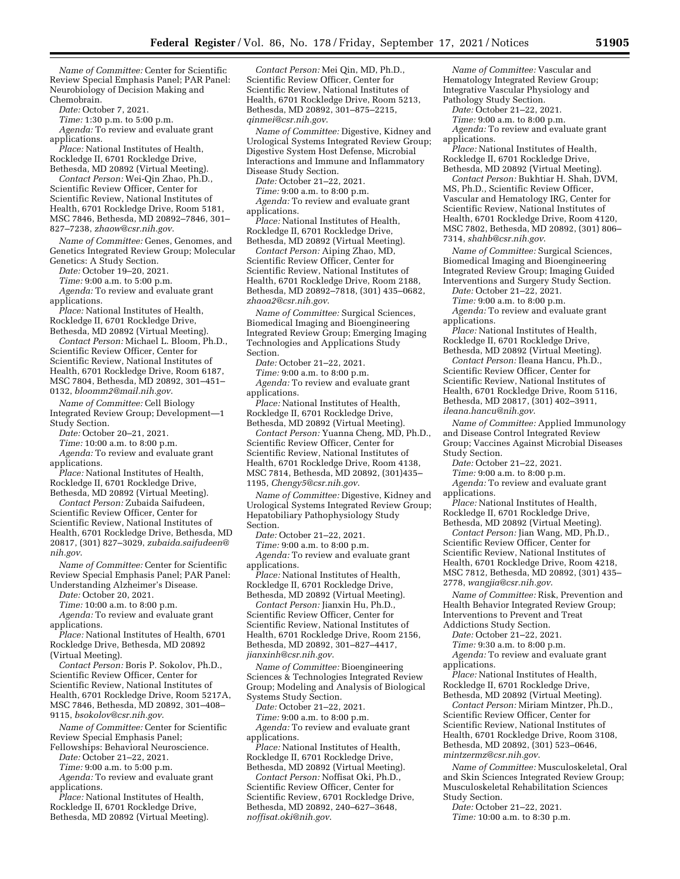*Name of Committee:* Center for Scientific Review Special Emphasis Panel; PAR Panel: Neurobiology of Decision Making and Chemobrain.

*Date:* October 7, 2021.

*Time:* 1:30 p.m. to 5:00 p.m.

*Agenda:* To review and evaluate grant applications.

*Place:* National Institutes of Health, Rockledge II, 6701 Rockledge Drive, Bethesda, MD 20892 (Virtual Meeting).

*Contact Person:* Wei-Qin Zhao, Ph.D., Scientific Review Officer, Center for Scientific Review, National Institutes of Health, 6701 Rockledge Drive, Room 5181, MSC 7846, Bethesda, MD 20892–7846, 301– 827–7238, *[zhaow@csr.nih.gov](mailto:zhaow@csr.nih.gov)*.

*Name of Committee:* Genes, Genomes, and Genetics Integrated Review Group; Molecular Genetics: A Study Section.

*Date:* October 19–20, 2021.

*Time:* 9:00 a.m. to 5:00 p.m.

*Agenda:* To review and evaluate grant applications.

*Place:* National Institutes of Health, Rockledge II, 6701 Rockledge Drive, Bethesda, MD 20892 (Virtual Meeting).

*Contact Person:* Michael L. Bloom, Ph.D., Scientific Review Officer, Center for Scientific Review, National Institutes of Health, 6701 Rockledge Drive, Room 6187, MSC 7804, Bethesda, MD 20892, 301–451– 0132, *[bloomm2@mail.nih.gov](mailto:bloomm2@mail.nih.gov)*.

*Name of Committee:* Cell Biology Integrated Review Group; Development—1 Study Section.

*Date:* October 20–21, 2021.

*Time:* 10:00 a.m. to 8:00 p.m. *Agenda:* To review and evaluate grant applications.

*Place:* National Institutes of Health, Rockledge II, 6701 Rockledge Drive, Bethesda, MD 20892 (Virtual Meeting).

*Contact Person:* Zubaida Saifudeen, Scientific Review Officer, Center for Scientific Review, National Institutes of Health, 6701 Rockledge Drive, Bethesda, MD 20817, (301) 827–3029, *[zubaida.saifudeen@](mailto:zubaida.saifudeen@nih.gov) [nih.gov](mailto:zubaida.saifudeen@nih.gov)*.

*Name of Committee:* Center for Scientific Review Special Emphasis Panel; PAR Panel: Understanding Alzheimer's Disease.

*Date:* October 20, 2021.

*Time:* 10:00 a.m. to 8:00 p.m.

*Agenda:* To review and evaluate grant applications.

*Place:* National Institutes of Health, 6701 Rockledge Drive, Bethesda, MD 20892 (Virtual Meeting).

*Contact Person:* Boris P. Sokolov, Ph.D., Scientific Review Officer, Center for Scientific Review, National Institutes of Health, 6701 Rockledge Drive, Room 5217A, MSC 7846, Bethesda, MD 20892, 301–408– 9115, *[bsokolov@csr.nih.gov](mailto:bsokolov@csr.nih.gov)*.

*Name of Committee:* Center for Scientific Review Special Emphasis Panel; Fellowships: Behavioral Neuroscience.

*Date:* October 21–22, 2021.

*Time:* 9:00 a.m. to 5:00 p.m.

*Agenda:* To review and evaluate grant applications.

*Place:* National Institutes of Health, Rockledge II, 6701 Rockledge Drive, Bethesda, MD 20892 (Virtual Meeting).

*Contact Person:* Mei Qin, MD, Ph.D., Scientific Review Officer, Center for Scientific Review, National Institutes of Health, 6701 Rockledge Drive, Room 5213, Bethesda, MD 20892, 301–875–2215, *[qinmei@csr.nih.gov](mailto:qinmei@csr.nih.gov)*.

*Name of Committee:* Digestive, Kidney and Urological Systems Integrated Review Group; Digestive System Host Defense, Microbial Interactions and Immune and Inflammatory Disease Study Section.

*Date:* October 21–22, 2021.

*Time:* 9:00 a.m. to 8:00 p.m. *Agenda:* To review and evaluate grant applications.

*Place:* National Institutes of Health, Rockledge II, 6701 Rockledge Drive, Bethesda, MD 20892 (Virtual Meeting).

*Contact Person:* Aiping Zhao, MD, Scientific Review Officer, Center for Scientific Review, National Institutes of Health, 6701 Rockledge Drive, Room 2188, Bethesda, MD 20892–7818, (301) 435–0682, *[zhaoa2@csr.nih.gov](mailto:zhaoa2@csr.nih.gov)*.

*Name of Committee:* Surgical Sciences, Biomedical Imaging and Bioengineering Integrated Review Group; Emerging Imaging Technologies and Applications Study Section.

*Date:* October 21–22, 2021.

*Time:* 9:00 a.m. to 8:00 p.m. Agenda: To review and evaluate grant applications.

*Place:* National Institutes of Health, Rockledge II, 6701 Rockledge Drive, Bethesda, MD 20892 (Virtual Meeting).

*Contact Person:* Yuanna Cheng, MD, Ph.D., Scientific Review Officer, Center for Scientific Review, National Institutes of Health, 6701 Rockledge Drive, Room 4138, MSC 7814, Bethesda, MD 20892, (301)435– 1195, *[Chengy5@csr.nih.gov](mailto:Chengy5@csr.nih.gov)*.

*Name of Committee:* Digestive, Kidney and Urological Systems Integrated Review Group; Hepatobiliary Pathophysiology Study Section.

*Date:* October 21–22, 2021.

*Time:* 9:00 a.m. to 8:00 p.m. *Agenda:* To review and evaluate grant applications.

*Place:* National Institutes of Health, Rockledge II, 6701 Rockledge Drive, Bethesda, MD 20892 (Virtual Meeting).

*Contact Person:* Jianxin Hu, Ph.D., Scientific Review Officer, Center for Scientific Review, National Institutes of Health, 6701 Rockledge Drive, Room 2156, Bethesda, MD 20892, 301–827–4417, *[jianxinh@csr.nih.gov](mailto:jianxinh@csr.nih.gov)*.

*Name of Committee:* Bioengineering Sciences & Technologies Integrated Review Group; Modeling and Analysis of Biological Systems Study Section.

*Date:* October 21–22, 2021.

*Time:* 9:00 a.m. to 8:00 p.m. *Agenda:* To review and evaluate grant applications.

*Place:* National Institutes of Health, Rockledge II, 6701 Rockledge Drive, Bethesda, MD 20892 (Virtual Meeting).

*Contact Person:* Noffisat Oki, Ph.D., Scientific Review Officer, Center for Scientific Review, 6701 Rockledge Drive, Bethesda, MD 20892, 240–627–3648, *[noffisat.oki@nih.gov](mailto:noffisat.oki@nih.gov)*.

*Name of Committee:* Vascular and Hematology Integrated Review Group; Integrative Vascular Physiology and Pathology Study Section.

*Date:* October 21–22, 2021.

*Time:* 9:00 a.m. to 8:00 p.m.

Agenda: To review and evaluate grant applications.

*Place:* National Institutes of Health, Rockledge II, 6701 Rockledge Drive, Bethesda, MD 20892 (Virtual Meeting).

*Contact Person:* Bukhtiar H. Shah, DVM, MS, Ph.D., Scientific Review Officer, Vascular and Hematology IRG, Center for Scientific Review, National Institutes of Health, 6701 Rockledge Drive, Room 4120, MSC 7802, Bethesda, MD 20892, (301) 806– 7314, *[shahb@csr.nih.gov](mailto:shahb@csr.nih.gov)*.

*Name of Committee:* Surgical Sciences, Biomedical Imaging and Bioengineering Integrated Review Group; Imaging Guided Interventions and Surgery Study Section.

*Date:* October 21–22, 2021.

*Time:* 9:00 a.m. to 8:00 p.m.

*Agenda:* To review and evaluate grant applications.

*Place:* National Institutes of Health, Rockledge II, 6701 Rockledge Drive, Bethesda, MD 20892 (Virtual Meeting).

*Contact Person:* Ileana Hancu, Ph.D., Scientific Review Officer, Center for Scientific Review, National Institutes of Health, 6701 Rockledge Drive, Room 5116, Bethesda, MD 20817, (301) 402–3911, *[ileana.hancu@nih.gov](mailto:ileana.hancu@nih.gov)*.

*Name of Committee:* Applied Immunology and Disease Control Integrated Review Group; Vaccines Against Microbial Diseases Study Section.

*Date:* October 21–22, 2021.

*Time:* 9:00 a.m. to 8:00 p.m.

*Agenda:* To review and evaluate grant applications.

*Place:* National Institutes of Health, Rockledge II, 6701 Rockledge Drive,

Bethesda, MD 20892 (Virtual Meeting). *Contact Person:* Jian Wang, MD, Ph.D., Scientific Review Officer, Center for Scientific Review, National Institutes of Health, 6701 Rockledge Drive, Room 4218, MSC 7812, Bethesda, MD 20892, (301) 435– 2778, *[wangjia@csr.nih.gov](mailto:wangjia@csr.nih.gov)*.

*Name of Committee:* Risk, Prevention and Health Behavior Integrated Review Group; Interventions to Prevent and Treat Addictions Study Section.

*Date:* October 21–22, 2021.

*Time:* 9:30 a.m. to 8:00 p.m.

*Agenda:* To review and evaluate grant

applications.

*Place:* National Institutes of Health, Rockledge II, 6701 Rockledge Drive, Bethesda, MD 20892 (Virtual Meeting).

*Contact Person:* Miriam Mintzer, Ph.D., Scientific Review Officer, Center for Scientific Review, National Institutes of Health, 6701 Rockledge Drive, Room 3108, Bethesda, MD 20892, (301) 523–0646, *[mintzermz@csr.nih.gov](mailto:mintzermz@csr.nih.gov)*.

*Name of Committee:* Musculoskeletal, Oral and Skin Sciences Integrated Review Group; Musculoskeletal Rehabilitation Sciences Study Section.

*Date:* October 21–22, 2021.

*Time:* 10:00 a.m. to 8:30 p.m.